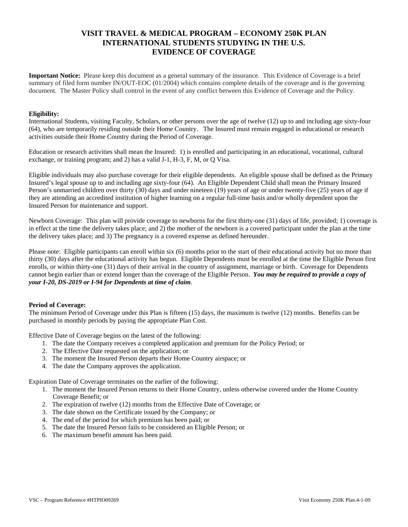# **VISIT TRAVEL & MEDICAL PROGRAM – ECONOMY 250K PLAN INTERNATIONAL STUDENTS STUDYING IN THE U.S. EVIDENCE OF COVERAGE**

**Important Notice:** Please keep this document as a general summary of the insurance. This Evidence of Coverage is a brief summary of filed form number IN/OUT-EOC (01/2004) which contains complete details of the coverage and is the governing document. The Master Policy shall control in the event of any conflict between this Evidence of Coverage and the Policy.

### **Eligibility:**

International Students, visiting Faculty, Scholars, or other persons over the age of twelve (12) up to and including age sixty-four (64), who are temporarily residing outside their Home Country. The Insured must remain engaged in educational or research activities outside their Home Country during the Period of Coverage.

Education or research activities shall mean the Insured: 1) is enrolled and participating in an educational, vocational, cultural exchange, or training program; and 2) has a valid J-1, H-3, F, M, or Q Visa.

Eligible individuals may also purchase coverage for their eligible dependents. An eligible spouse shall be defined as the Primary Insured's legal spouse up to and including age sixty-four (64). An Eligible Dependent Child shall mean the Primary Insured Person's unmarried children over thirty (30) days and under nineteen (19) years of age or under twenty-five (25) years of age if they are attending an accredited institution of higher learning on a regular full-time basis and/or wholly dependent upon the Insured Person for maintenance and support.

Newborn Coverage: This plan will provide coverage to newborns for the first thirty-one (31) days of life, provided; 1) coverage is in effect at the time the delivery takes place; and 2) the mother of the newborn is a covered participant under the plan at the time the delivery takes place; and 3) The pregnancy is a covered expense as defined hereunder.

Please note: Eligible participants can enroll within six (6) months prior to the start of their educational activity but no more than thirty (30) days after the educational activity has begun. Eligible Dependents must be enrolled at the time the Eligible Person first enrolls, or within thirty-one (31) days of their arrival in the country of assignment, marriage or birth. Coverage for Dependents cannot begin earlier than or extend longer than the coverage of the Eligible Person. *You may be required to provide a copy of your I-20, DS-2019 or I-94 for Dependents at time of claim.*

# **Period of Coverage:**

The minimum Period of Coverage under this Plan is fifteen (15) days, the maximum is twelve (12) months. Benefits can be purchased in monthly periods by paying the appropriate Plan Cost.

Effective Date of Coverage begins on the latest of the following:

- 1. The date the Company receives a completed application and premium for the Policy Period; or
- 2. The Effective Date requested on the application; or
- 3. The moment the Insured Person departs their Home Country airspace; or
- 4. The date the Company approves the application.

Expiration Date of Coverage terminates on the earlier of the following:

- 1. The moment the Insured Person returns to their Home Country, unless otherwise covered under the Home Country Coverage Benefit; or
- 2. The expiration of twelve (12) months from the Effective Date of Coverage; or
- 3. The date shown on the Certificate issued by the Company; or
- 4. The end of the period for which premium has been paid; or
- 5. The date the Insured Person fails to be considered an Eligible Person; or
- 6. The maximum benefit amount has been paid.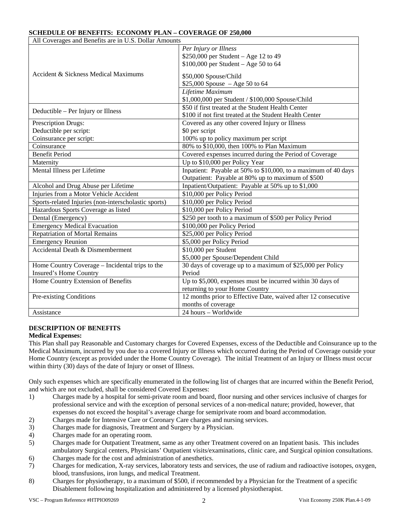# **SCHEDULE OF BENEFITS: ECONOMY PLAN – COVERAGE OF 250,000**

| All Coverages and Benefits are in U.S. Dollar Amounts |                                                                |  |  |  |
|-------------------------------------------------------|----------------------------------------------------------------|--|--|--|
| Accident & Sickness Medical Maximums                  | Per Injury or Illness                                          |  |  |  |
|                                                       | \$250,000 per Student – Age 12 to 49                           |  |  |  |
|                                                       | $$100,000$ per Student - Age 50 to 64                          |  |  |  |
|                                                       | \$50,000 Spouse/Child                                          |  |  |  |
|                                                       | $$25,000$ Spouse $-Age 50$ to 64                               |  |  |  |
|                                                       | Lifetime Maximum                                               |  |  |  |
|                                                       | \$1,000,000 per Student / \$100,000 Spouse/Child               |  |  |  |
| Deductible – Per Injury or Illness                    | \$50 if first treated at the Student Health Center             |  |  |  |
|                                                       | \$100 if not first treated at the Student Health Center        |  |  |  |
| Prescription Drugs:                                   | Covered as any other covered Injury or Illness                 |  |  |  |
| Deductible per script:                                | \$0 per script                                                 |  |  |  |
| Coinsurance per script:                               | 100% up to policy maximum per script                           |  |  |  |
| Coinsurance                                           | 80% to \$10,000, then 100% to Plan Maximum                     |  |  |  |
| <b>Benefit Period</b>                                 | Covered expenses incurred during the Period of Coverage        |  |  |  |
| Maternity                                             | Up to \$10,000 per Policy Year                                 |  |  |  |
| Mental Illness per Lifetime                           | Inpatient: Payable at 50% to \$10,000, to a maximum of 40 days |  |  |  |
|                                                       | Outpatient: Payable at 80% up to maximum of \$500              |  |  |  |
| Alcohol and Drug Abuse per Lifetime                   | Inpatient/Outpatient: Payable at 50% up to \$1,000             |  |  |  |
| Injuries from a Motor Vehicle Accident                | \$10,000 per Policy Period                                     |  |  |  |
| Sports-related Injuries (non-interscholastic sports)  | \$10,000 per Policy Period                                     |  |  |  |
| Hazardous Sports Coverage as listed                   | \$10,000 per Policy Period                                     |  |  |  |
| Dental (Emergency)                                    | \$250 per tooth to a maximum of \$500 per Policy Period        |  |  |  |
| <b>Emergency Medical Evacuation</b>                   | \$100,000 per Policy Period                                    |  |  |  |
| <b>Repatriation of Mortal Remains</b>                 | \$25,000 per Policy Period                                     |  |  |  |
| <b>Emergency Reunion</b>                              | \$5,000 per Policy Period                                      |  |  |  |
| Accidental Death & Dismemberment                      | $\overline{$10,000}$ per Student                               |  |  |  |
|                                                       | \$5,000 per Spouse/Dependent Child                             |  |  |  |
| Home Country Coverage - Incidental trips to the       | 30 days of coverage up to a maximum of \$25,000 per Policy     |  |  |  |
| Insured's Home Country                                | Period                                                         |  |  |  |
| Home Country Extension of Benefits                    | Up to \$5,000, expenses must be incurred within 30 days of     |  |  |  |
|                                                       | returning to your Home Country                                 |  |  |  |
| Pre-existing Conditions                               | 12 months prior to Effective Date, waived after 12 consecutive |  |  |  |
|                                                       | months of coverage                                             |  |  |  |
| Assistance                                            | $24$ hours - Worldwide                                         |  |  |  |

# **DESCRIPTION OF BENEFITS**

# **Medical Expenses:**

This Plan shall pay Reasonable and Customary charges for Covered Expenses, excess of the Deductible and Coinsurance up to the Medical Maximum, incurred by you due to a covered Injury or Illness which occurred during the Period of Coverage outside your Home Country (except as provided under the Home Country Coverage). The initial Treatment of an Injury or Illness must occur within thirty (30) days of the date of Injury or onset of Illness.

Only such expenses which are specifically enumerated in the following list of charges that are incurred within the Benefit Period, and which are not excluded, shall be considered Covered Expenses:

- 1) Charges made by a hospital for semi-private room and board, floor nursing and other services inclusive of charges for professional service and with the exception of personal services of a non-medical nature; provided, however, that expenses do not exceed the hospital's average charge for semiprivate room and board accommodation.
- 2) Charges made for Intensive Care or Coronary Care charges and nursing services.
- 3) Charges made for diagnosis, Treatment and Surgery by a Physician.
- 4) Charges made for an operating room.
- 5) Charges made for Outpatient Treatment, same as any other Treatment covered on an Inpatient basis. This includes ambulatory Surgical centers, Physicians' Outpatient visits/examinations, clinic care, and Surgical opinion consultations.
- 6) Charges made for the cost and administration of anesthetics.
- 7) Charges for medication, X-ray services, laboratory tests and services, the use of radium and radioactive isotopes, oxygen, blood, transfusions, iron lungs, and medical Treatment.
- 8) Charges for physiotherapy, to a maximum of \$500, if recommended by a Physician for the Treatment of a specific Disablement following hospitalization and administered by a licensed physiotherapist.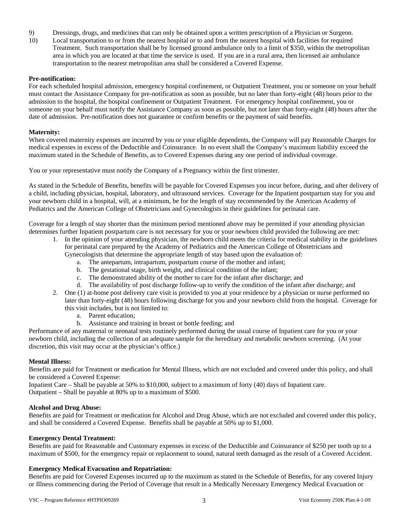- 9) Dressings, drugs, and medicines that can only be obtained upon a written prescription of a Physician or Surgeon.
- 10) Local transportation to or from the nearest hospital or to and from the nearest hospital with facilities for required Treatment. Such transportation shall be by licensed ground ambulance only to a limit of \$350, within the metropolitan area in which you are located at that time the service is used. If you are in a rural area, then licensed air ambulance transportation to the nearest metropolitan area shall be considered a Covered Expense.

### **Pre-notification:**

For each scheduled hospital admission, emergency hospital confinement, or Outpatient Treatment, you or someone on your behalf must contact the Assistance Company for pre-notification as soon as possible, but no later than forty-eight (48) hours prior to the admission to the hospital, the hospital confinement or Outpatient Treatment. For emergency hospital confinement, you or someone on your behalf must notify the Assistance Company as soon as possible, but not later than forty-eight (48) hours after the date of admission. Pre-notification does not guarantee or confirm benefits or the payment of said benefits.

### **Maternity:**

When covered maternity expenses are incurred by you or your eligible dependents, the Company will pay Reasonable Charges for medical expenses in excess of the Deductible and Coinsurance. In no event shall the Company's maximum liability exceed the maximum stated in the Schedule of Benefits, as to Covered Expenses during any one period of individual coverage.

You or your representative must notify the Company of a Pregnancy within the first trimester.

As stated in the Schedule of Benefits, benefits will be payable for Covered Expenses you incur before, during, and after delivery of a child, including physician, hospital, laboratory, and ultrasound services. Coverage for the Inpatient postpartum stay for you and your newborn child in a hospital, will, at a minimum, be for the length of stay recommended by the American Academy of Pediatrics and the American College of Obstetricians and Gynecologists in their guidelines for perinatal care.

Coverage for a length of stay shorter than the minimum period mentioned above may be permitted if your attending physician determines further Inpatient postpartum care is not necessary for you or your newborn child provided the following are met:

- 1. In the opinion of your attending physician, the newborn child meets the criteria for medical stability in the guidelines for perinatal care prepared by the Academy of Pediatrics and the American College of Obstetricians and
	- Gynecologists that determine the appropriate length of stay based upon the evaluation of:
		- a. The antepartum, intrapartum, postpartum course of the mother and infant;
		- b. The gestational stage, birth weight, and clinical condition of the infant;
		- c. The demonstrated ability of the mother to care for the infant after discharge; and
		- d. The availability of post discharge follow-up to verify the condition of the infant after discharge; and
- 2. One (1) at-home post delivery care visit is provided to you at your residence by a physician or nurse performed no later than forty-eight (48) hours following discharge for you and your newborn child from the hospital. Coverage for this visit includes, but is not limited to:
	- a. Parent education;
	- b. Assistance and training in breast or bottle feeding; and

Performance of any maternal or neonatal tests routinely performed during the usual course of Inpatient care for you or your newborn child, including the collection of an adequate sample for the hereditary and metabolic newborn screening. (At your discretion, this visit may occur at the physician's office.)

### **Mental Illness:**

Benefits are paid for Treatment or medication for Mental Illness, which are not excluded and covered under this policy, and shall be considered a Covered Expense:

Inpatient Care – Shall be payable at 50% to \$10,000, subject to a maximum of forty (40) days of Inpatient care. Outpatient – Shall be payable at 80% up to a maximum of \$500.

### **Alcohol and Drug Abuse:**

Benefits are paid for Treatment or medication for Alcohol and Drug Abuse, which are not excluded and covered under this policy, and shall be considered a Covered Expense. Benefits shall be payable at 50% up to \$1,000.

### **Emergency Dental Treatment:**

Benefits are paid for Reasonable and Customary expenses in excess of the Deductible and Coinsurance of \$250 per tooth up to a maximum of \$500, for the emergency repair or replacement to sound, natural teeth damaged as the result of a Covered Accident.

### **Emergency Medical Evacuation and Repatriation:**

Benefits are paid for Covered Expenses incurred up to the maximum as stated in the Schedule of Benefits, for any covered Injury or Illness commencing during the Period of Coverage that result in a Medically Necessary Emergency Medical Evacuation or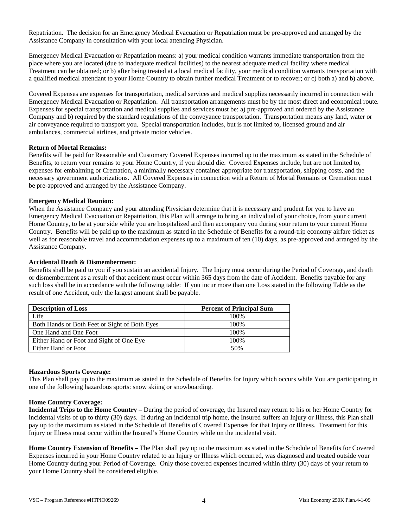Repatriation. The decision for an Emergency Medical Evacuation or Repatriation must be pre-approved and arranged by the Assistance Company in consultation with your local attending Physician.

Emergency Medical Evacuation or Repatriation means: a) your medical condition warrants immediate transportation from the place where you are located (due to inadequate medical facilities) to the nearest adequate medical facility where medical Treatment can be obtained; or b) after being treated at a local medical facility, your medical condition warrants transportation with a qualified medical attendant to your Home Country to obtain further medical Treatment or to recover; or c) both a) and b) above.

Covered Expenses are expenses for transportation, medical services and medical supplies necessarily incurred in connection with Emergency Medical Evacuation or Repatriation. All transportation arrangements must be by the most direct and economical route. Expenses for special transportation and medical supplies and services must be: a) pre-approved and ordered by the Assistance Company and b) required by the standard regulations of the conveyance transportation. Transportation means any land, water or air conveyance required to transport you. Special transportation includes, but is not limited to, licensed ground and air ambulances, commercial airlines, and private motor vehicles.

### **Return of Mortal Remains:**

Benefits will be paid for Reasonable and Customary Covered Expenses incurred up to the maximum as stated in the Schedule of Benefits, to return your remains to your Home Country, if you should die. Covered Expenses include, but are not limited to, expenses for embalming or Cremation, a minimally necessary container appropriate for transportation, shipping costs, and the necessary government authorizations. All Covered Expenses in connection with a Return of Mortal Remains or Cremation must be pre-approved and arranged by the Assistance Company.

### **Emergency Medical Reunion:**

When the Assistance Company and your attending Physician determine that it is necessary and prudent for you to have an Emergency Medical Evacuation or Repatriation, this Plan will arrange to bring an individual of your choice, from your current Home Country, to be at your side while you are hospitalized and then accompany you during your return to your current Home Country. Benefits will be paid up to the maximum as stated in the Schedule of Benefits for a round-trip economy airfare ticket as well as for reasonable travel and accommodation expenses up to a maximum of ten (10) days, as pre-approved and arranged by the Assistance Company.

### **Accidental Death & Dismemberment:**

Benefits shall be paid to you if you sustain an accidental Injury. The Injury must occur during the Period of Coverage, and death or dismemberment as a result of that accident must occur within 365 days from the date of Accident. Benefits payable for any such loss shall be in accordance with the following table: If you incur more than one Loss stated in the following Table as the result of one Accident, only the largest amount shall be payable.

| <b>Description of Loss</b>                    | <b>Percent of Principal Sum</b> |  |  |
|-----------------------------------------------|---------------------------------|--|--|
| Life                                          | 100\%                           |  |  |
| Both Hands or Both Feet or Sight of Both Eyes | 100\%                           |  |  |
| One Hand and One Foot                         | 100\%                           |  |  |
| Either Hand or Foot and Sight of One Eye      | 100%                            |  |  |
| Either Hand or Foot                           | 50%                             |  |  |

### **Hazardous Sports Coverage:**

This Plan shall pay up to the maximum as stated in the Schedule of Benefits for Injury which occurs while You are participating in one of the following hazardous sports: snow skiing or snowboarding.

### **Home Country Coverage:**

**Incidental Trips to the Home Country –** During the period of coverage, the Insured may return to his or her Home Country for incidental visits of up to thirty (30) days. If during an incidental trip home, the Insured suffers an Injury or Illness, this Plan shall pay up to the maximum as stated in the Schedule of Benefits of Covered Expenses for that Injury or Illness. Treatment for this Injury or Illness must occur within the Insured's Home Country while on the incidental visit.

**Home Country Extension of Benefits –** The Plan shall pay up to the maximum as stated in the Schedule of Benefits for Covered Expenses incurred in your Home Country related to an Injury or Illness which occurred, was diagnosed and treated outside your Home Country during your Period of Coverage. Only those covered expenses incurred within thirty (30) days of your return to your Home Country shall be considered eligible.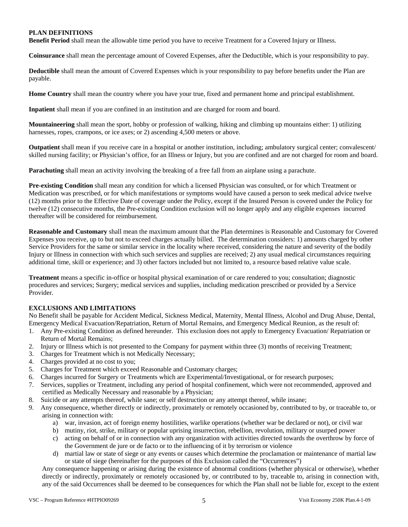# **PLAN DEFINITIONS**

**Benefit Period** shall mean the allowable time period you have to receive Treatment for a Covered Injury or Illness.

**Coinsurance** shall mean the percentage amount of Covered Expenses, after the Deductible, which is your responsibility to pay.

**Deductible** shall mean the amount of Covered Expenses which is your responsibility to pay before benefits under the Plan are payable.

**Home Country** shall mean the country where you have your true, fixed and permanent home and principal establishment.

**Inpatient** shall mean if you are confined in an institution and are charged for room and board.

**Mountaineering** shall mean the sport, hobby or profession of walking, hiking and climbing up mountains either: 1) utilizing harnesses, ropes, crampons, or ice axes; or 2) ascending 4,500 meters or above.

**Outpatient** shall mean if you receive care in a hospital or another institution, including; ambulatory surgical center; convalescent/ skilled nursing facility; or Physician's office, for an Illness or Injury, but you are confined and are not charged for room and board.

**Parachuting** shall mean an activity involving the breaking of a free fall from an airplane using a parachute.

**Pre-existing Condition** shall mean any condition for which a licensed Physician was consulted, or for which Treatment or Medication was prescribed, or for which manifestations or symptoms would have caused a person to seek medical advice twelve (12) months prior to the Effective Date of coverage under the Policy, except if the Insured Person is covered under the Policy for twelve (12) consecutive months, the Pre-existing Condition exclusion will no longer apply and any eligible expenses incurred thereafter will be considered for reimbursement.

**Reasonable and Customary** shall mean the maximum amount that the Plan determines is Reasonable and Customary for Covered Expenses you receive, up to but not to exceed charges actually billed. The determination considers: 1) amounts charged by other Service Providers for the same or similar service in the locality where received, considering the nature and severity of the bodily Injury or Illness in connection with which such services and supplies are received; 2) any usual medical circumstances requiring additional time, skill or experience; and 3) other factors included but not limited to, a resource based relative value scale.

**Treatment** means a specific in-office or hospital physical examination of or care rendered to you; consultation; diagnostic procedures and services; Surgery; medical services and supplies, including medication prescribed or provided by a Service Provider.

# **EXCLUSIONS AND LIMITATIONS**

No Benefit shall be payable for Accident Medical, Sickness Medical, Maternity, Mental Illness, Alcohol and Drug Abuse, Dental, Emergency Medical Evacuation/Repatriation, Return of Mortal Remains, and Emergency Medical Reunion, as the result of:

- 1. Any Pre-existing Condition as defined hereunder. This exclusion does not apply to Emergency Evacuation/ Repatriation or Return of Mortal Remains;
- 2. Injury or Illness which is not presented to the Company for payment within three (3) months of receiving Treatment;
- 3. Charges for Treatment which is not Medically Necessary;
- 4. Charges provided at no cost to you;
- 5. Charges for Treatment which exceed Reasonable and Customary charges;
- 6. Charges incurred for Surgery or Treatments which are Experimental/Investigational, or for research purposes;
- 7. Services, supplies or Treatment, including any period of hospital confinement, which were not recommended, approved and certified as Medically Necessary and reasonable by a Physician;
- 8. Suicide or any attempts thereof, while sane; or self destruction or any attempt thereof, while insane;
- 9. Any consequence, whether directly or indirectly, proximately or remotely occasioned by, contributed to by, or traceable to, or arising in connection with:
	- a) war, invasion, act of foreign enemy hostilities, warlike operations (whether war be declared or not), or civil war
	- b) mutiny, riot, strike, military or popular uprising insurrection, rebellion, revolution, military or usurped power
	- c) acting on behalf of or in connection with any organization with activities directed towards the overthrow by force of the Government de jure or de facto or to the influencing of it by terrorism or violence
	- d) martial law or state of siege or any events or causes which determine the proclamation or maintenance of martial law or state of siege (hereinafter for the purposes of this Exclusion called the "Occurrences")

Any consequence happening or arising during the existence of abnormal conditions (whether physical or otherwise), whether directly or indirectly, proximately or remotely occasioned by, or contributed to by, traceable to, arising in connection with, any of the said Occurrences shall be deemed to be consequences for which the Plan shall not be liable for, except to the extent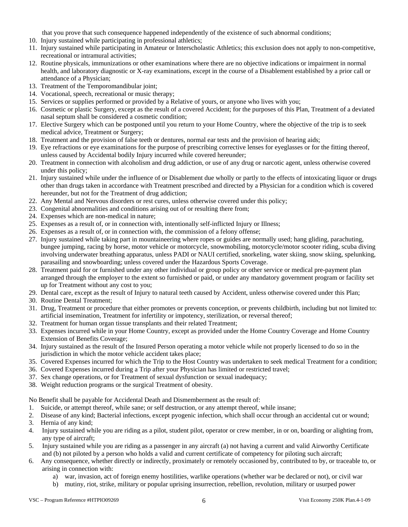that you prove that such consequence happened independently of the existence of such abnormal conditions;

- 10. Injury sustained while participating in professional athletics;
- 11. Injury sustained while participating in Amateur or Interscholastic Athletics; this exclusion does not apply to non-competitive, recreational or intramural activities;
- 12. Routine physicals, immunizations or other examinations where there are no objective indications or impairment in normal health, and laboratory diagnostic or X-ray examinations, except in the course of a Disablement established by a prior call or attendance of a Physician;
- 13. Treatment of the Temporomandibular joint;
- 14. Vocational, speech, recreational or music therapy;
- 15. Services or supplies performed or provided by a Relative of yours, or anyone who lives with you;
- 16. Cosmetic or plastic Surgery, except as the result of a covered Accident; for the purposes of this Plan, Treatment of a deviated nasal septum shall be considered a cosmetic condition;
- 17. Elective Surgery which can be postponed until you return to your Home Country, where the objective of the trip is to seek medical advice, Treatment or Surgery;
- 18. Treatment and the provision of false teeth or dentures, normal ear tests and the provision of hearing aids;
- 19. Eye refractions or eye examinations for the purpose of prescribing corrective lenses for eyeglasses or for the fitting thereof, unless caused by Accidental bodily Injury incurred while covered hereunder;
- 20. Treatment in connection with alcoholism and drug addiction, or use of any drug or narcotic agent, unless otherwise covered under this policy;
- 21. Injury sustained while under the influence of or Disablement due wholly or partly to the effects of intoxicating liquor or drugs other than drugs taken in accordance with Treatment prescribed and directed by a Physician for a condition which is covered hereunder, but not for the Treatment of drug addiction;
- 22. Any Mental and Nervous disorders or rest cures, unless otherwise covered under this policy;
- 23. Congenital abnormalities and conditions arising out of or resulting there from;
- 24. Expenses which are non-medical in nature;
- 25. Expenses as a result of, or in connection with, intentionally self-inflicted Injury or Illness;
- 26. Expenses as a result of, or in connection with, the commission of a felony offense;
- 27. Injury sustained while taking part in mountaineering where ropes or guides are normally used; hang gliding, parachuting, bungee jumping, racing by horse, motor vehicle or motorcycle, snowmobiling, motorcycle/motor scooter riding, scuba diving involving underwater breathing apparatus, unless PADI or NAUI certified, snorkeling, water skiing, snow skiing, spelunking, parasailing and snowboarding; unless covered under the Hazardous Sports Coverage.
- 28. Treatment paid for or furnished under any other individual or group policy or other service or medical pre-payment plan arranged through the employer to the extent so furnished or paid, or under any mandatory government program or facility set up for Treatment without any cost to you;
- 29. Dental care, except as the result of Injury to natural teeth caused by Accident, unless otherwise covered under this Plan;
- 30. Routine Dental Treatment;
- 31. Drug, Treatment or procedure that either promotes or prevents conception, or prevents childbirth, including but not limited to: artificial insemination, Treatment for infertility or impotency, sterilization, or reversal thereof;
- 32. Treatment for human organ tissue transplants and their related Treatment;
- 33. Expenses incurred while in your Home Country, except as provided under the Home Country Coverage and Home Country Extension of Benefits Coverage;
- 34. Injury sustained as the result of the Insured Person operating a motor vehicle while not properly licensed to do so in the jurisdiction in which the motor vehicle accident takes place;
- 35. Covered Expenses incurred for which the Trip to the Host Country was undertaken to seek medical Treatment for a condition;
- 36. Covered Expenses incurred during a Trip after your Physician has limited or restricted travel;
- 37. Sex change operations, or for Treatment of sexual dysfunction or sexual inadequacy;
- 38. Weight reduction programs or the surgical Treatment of obesity.

No Benefit shall be payable for Accidental Death and Dismemberment as the result of:

- 1. Suicide, or attempt thereof, while sane; or self destruction, or any attempt thereof, while insane;
- 2. Disease of any kind; Bacterial infections, except pyogenic infection, which shall occur through an accidental cut or wound;
- 3. Hernia of any kind;
- 4. Injury sustained while you are riding as a pilot, student pilot, operator or crew member, in or on, boarding or alighting from, any type of aircraft;
- 5. Injury sustained while you are riding as a passenger in any aircraft (a) not having a current and valid Airworthy Certificate and (b) not piloted by a person who holds a valid and current certificate of competency for piloting such aircraft;
- 6. Any consequence, whether directly or indirectly, proximately or remotely occasioned by, contributed to by, or traceable to, or arising in connection with:
	- a) war, invasion, act of foreign enemy hostilities, warlike operations (whether war be declared or not), or civil war
	- b) mutiny, riot, strike, military or popular uprising insurrection, rebellion, revolution, military or usurped power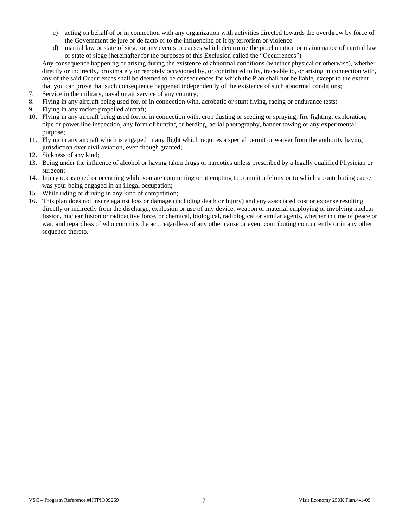- c) acting on behalf of or in connection with any organization with activities directed towards the overthrow by force of the Government de jure or de facto or to the influencing of it by terrorism or violence
- d) martial law or state of siege or any events or causes which determine the proclamation or maintenance of martial law or state of siege (hereinafter for the purposes of this Exclusion called the "Occurrences")

Any consequence happening or arising during the existence of abnormal conditions (whether physical or otherwise), whether directly or indirectly, proximately or remotely occasioned by, or contributed to by, traceable to, or arising in connection with, any of the said Occurrences shall be deemed to be consequences for which the Plan shall not be liable, except to the extent that you can prove that such consequence happened independently of the existence of such abnormal conditions;

- 7. Service in the military, naval or air service of any country;
- 8. Flying in any aircraft being used for, or in connection with, acrobatic or stunt flying, racing or endurance tests;
- 9. Flying in any rocket-propelled aircraft;
- 10. Flying in any aircraft being used for, or in connection with, crop dusting or seeding or spraying, fire fighting, exploration, pipe or power line inspection, any form of hunting or herding, aerial photography, banner towing or any experimental purpose;
- 11. Flying in any aircraft which is engaged in any flight which requires a special permit or waiver from the authority having jurisdiction over civil aviation, even though granted;
- 12. Sickness of any kind;
- 13. Being under the influence of alcohol or having taken drugs or narcotics unless prescribed by a legally qualified Physician or surgeon;
- 14. Injury occasioned or occurring while you are committing or attempting to commit a felony or to which a contributing cause was your being engaged in an illegal occupation;
- 15. While riding or driving in any kind of competition;
- 16. This plan does not insure against loss or damage (including death or Injury) and any associated cost or expense resulting directly or indirectly from the discharge, explosion or use of any device, weapon or material employing or involving nuclear fission, nuclear fusion or radioactive force, or chemical, biological, radiological or similar agents, whether in time of peace or war, and regardless of who commits the act, regardless of any other cause or event contributing concurrently or in any other sequence thereto.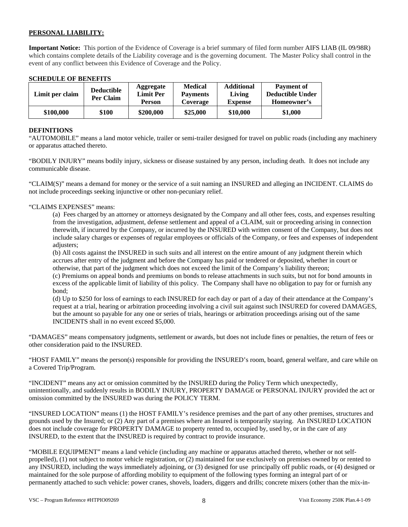# **PERSONAL LIABILITY:**

**Important Notice:** This portion of the Evidence of Coverage is a brief summary of filed form number AIFS LIAB (IL 09/98R) which contains complete details of the Liability coverage and is the governing document. The Master Policy shall control in the event of any conflict between this Evidence of Coverage and the Policy.

### **SCHEDULE OF BENEFITS**

| Limit per claim | <b>Deductible</b><br>Per Claim | Aggregate<br><b>Limit Per</b><br><b>Person</b> | <b>Medical</b><br><b>Payments</b><br>Coverage | <b>Additional</b><br>Living<br><b>Expense</b> | <b>Payment of</b><br><b>Deductible Under</b><br>Homeowner's |
|-----------------|--------------------------------|------------------------------------------------|-----------------------------------------------|-----------------------------------------------|-------------------------------------------------------------|
| \$100,000       | \$100                          | \$200,000                                      | \$25,000                                      | \$10,000                                      | \$1,000                                                     |

### **DEFINITIONS**

"AUTOMOBILE" means a land motor vehicle, trailer or semi-trailer designed for travel on public roads (including any machinery or apparatus attached thereto.

"BODILY INJURY" means bodily injury, sickness or disease sustained by any person, including death. It does not include any communicable disease.

"CLAIM(S)" means a demand for money or the service of a suit naming an INSURED and alleging an INCIDENT. CLAIMS do not include proceedings seeking injunctive or other non-pecuniary relief.

### "CLAIMS EXPENSES" means:

(a) Fees charged by an attorney or attorneys designated by the Company and all other fees, costs, and expenses resulting from the investigation, adjustment, defense settlement and appeal of a CLAIM, suit or proceeding arising in connection therewith, if incurred by the Company, or incurred by the INSURED with written consent of the Company, but does not include salary charges or expenses of regular employees or officials of the Company, or fees and expenses of independent adjusters;

(b) All costs against the INSURED in such suits and all interest on the entire amount of any judgment therein which accrues after entry of the judgment and before the Company has paid or tendered or deposited, whether in court or otherwise, that part of the judgment which does not exceed the limit of the Company's liability thereon;

(c) Premiums on appeal bonds and premiums on bonds to release attachments in such suits, but not for bond amounts in excess of the applicable limit of liability of this policy. The Company shall have no obligation to pay for or furnish any bond;

(d) Up to \$250 for loss of earnings to each INSURED for each day or part of a day of their attendance at the Company's request at a trial, hearing or arbitration proceeding involving a civil suit against such INSURED for covered DAMAGES, but the amount so payable for any one or series of trials, hearings or arbitration proceedings arising out of the same INCIDENTS shall in no event exceed \$5,000.

"DAMAGES" means compensatory judgments, settlement or awards, but does not include fines or penalties, the return of fees or other consideration paid to the INSURED.

"HOST FAMILY" means the person(s) responsible for providing the INSURED's room, board, general welfare, and care while on a Covered Trip/Program.

"INCIDENT" means any act or omission committed by the INSURED during the Policy Term which unexpectedly, unintentionally, and suddenly results in BODILY INJURY, PROPERTY DAMAGE or PERSONAL INJURY provided the act or omission committed by the INSURED was during the POLICY TERM.

"INSURED LOCATION" means (1) the HOST FAMILY's residence premises and the part of any other premises, structures and grounds used by the Insured; or (2) Any part of a premises where an Insured is temporarily staying. An INSURED LOCATION does not include coverage for PROPERTY DAMAGE to property rented to, occupied by, used by, or in the care of any INSURED, to the extent that the INSURED is required by contract to provide insurance.

"MOBILE EQUIPMENT" means a land vehicle (including any machine or apparatus attached thereto, whether or not selfpropelled), (1) not subject to motor vehicle registration, or (2) maintained for use exclusively on premises owned by or rented to any INSURED, including the ways immediately adjoining, or (3) designed for use principally off public roads, or (4) designed or maintained for the sole purpose of affording mobility to equipment of the following types forming an integral part of or permanently attached to such vehicle: power cranes, shovels, loaders, diggers and drills; concrete mixers (other than the mix-in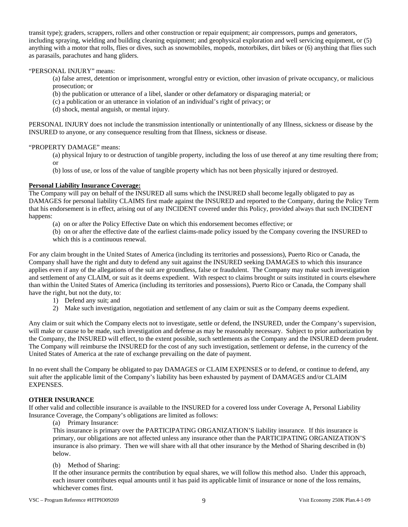transit type); graders, scrappers, rollers and other construction or repair equipment; air compressors, pumps and generators, including spraying, wielding and building cleaning equipment; and geophysical exploration and well servicing equipment, or (5) anything with a motor that rolls, flies or dives, such as snowmobiles, mopeds, motorbikes, dirt bikes or (6) anything that flies such as parasails, parachutes and hang gliders.

# "PERSONAL INJURY" means:

(a) false arrest, detention or imprisonment, wrongful entry or eviction, other invasion of private occupancy, or malicious prosecution; or

(b) the publication or utterance of a libel, slander or other defamatory or disparaging material; or

(c) a publication or an utterance in violation of an individual's right of privacy; or

(d) shock, mental anguish, or mental injury.

PERSONAL INJURY does not include the transmission intentionally or unintentionally of any Illness, sickness or disease by the INSURED to anyone, or any consequence resulting from that Illness, sickness or disease.

### "PROPERTY DAMAGE" means:

(a) physical Injury to or destruction of tangible property, including the loss of use thereof at any time resulting there from; or

(b) loss of use, or loss of the value of tangible property which has not been physically injured or destroyed.

### **Personal Liability Insurance Coverage:**

The Company will pay on behalf of the INSURED all sums which the INSURED shall become legally obligated to pay as DAMAGES for personal liability CLAIMS first made against the INSURED and reported to the Company, during the Policy Term that his endorsement is in effect, arising out of any INCIDENT covered under this Policy, provided always that such INCIDENT happens:

(a) on or after the Policy Effective Date on which this endorsement becomes effective; or

(b) on or after the effective date of the earliest claims-made policy issued by the Company covering the INSURED to which this is a continuous renewal.

For any claim brought in the United States of America (including its territories and possessions), Puerto Rico or Canada, the Company shall have the right and duty to defend any suit against the INSURED seeking DAMAGES to which this insurance applies even if any of the allegations of the suit are groundless, false or fraudulent. The Company may make such investigation and settlement of any CLAIM, or suit as it deems expedient. With respect to claims brought or suits instituted in courts elsewhere than within the United States of America (including its territories and possessions), Puerto Rico or Canada, the Company shall have the right, but not the duty, to:

- 1) Defend any suit; and
- 2) Make such investigation, negotiation and settlement of any claim or suit as the Company deems expedient.

Any claim or suit which the Company elects not to investigate, settle or defend, the INSURED, under the Company's supervision, will make or cause to be made, such investigation and defense as may be reasonably necessary. Subject to prior authorization by the Company, the INSURED will effect, to the extent possible, such settlements as the Company and the INSURED deem prudent. The Company will reimburse the INSURED for the cost of any such investigation, settlement or defense, in the currency of the United States of America at the rate of exchange prevailing on the date of payment.

In no event shall the Company be obligated to pay DAMAGES or CLAIM EXPENSES or to defend, or continue to defend, any suit after the applicable limit of the Company's liability has been exhausted by payment of DAMAGES and/or CLAIM EXPENSES.

# **OTHER INSURANCE**

If other valid and collectible insurance is available to the INSURED for a covered loss under Coverage A, Personal Liability Insurance Coverage, the Company's obligations are limited as follows:

(a) Primary Insurance:

This insurance is primary over the PARTICIPATING ORGANIZATION'S liability insurance. If this insurance is primary, our obligations are not affected unless any insurance other than the PARTICIPATING ORGANIZATION'S insurance is also primary. Then we will share with all that other insurance by the Method of Sharing described in (b) below.

### (b) Method of Sharing:

If the other insurance permits the contribution by equal shares, we will follow this method also. Under this approach, each insurer contributes equal amounts until it has paid its applicable limit of insurance or none of the loss remains, whichever comes first.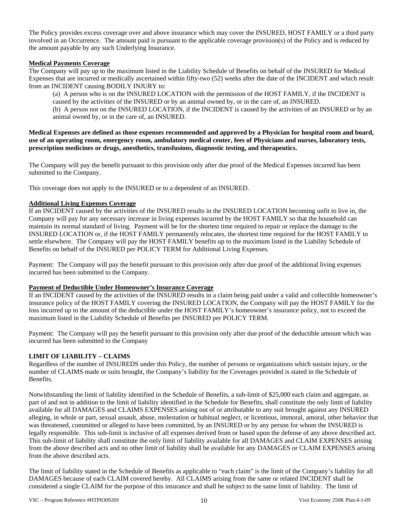The Policy provides excess coverage over and above insurance which may cover the INSURED, HOST FAMILY or a third party involved in an Occurrence. The amount paid is pursuant to the applicable coverage provision(s) of the Policy and is reduced by the amount payable by any such Underlying Insurance.

# **Medical Payments Coverage**

The Company will pay up to the maximum listed in the Liability Schedule of Benefits on behalf of the INSURED for Medical Expenses that are incurred or medically ascertained within fifty-two (52) weeks after the date of the INCIDENT and which result from an INCIDENT causing BODILY INJURY to:

(a) A person who is on the INSURED LOCATION with the permission of the HOST FAMILY, if the INCIDENT is caused by the activities of the INSURED or by an animal owned by, or in the care of, an INSURED. (b) A person not on the INSURED LOCATION, if the INCIDENT is caused by the activities of an INSURED or by an animal owned by, or in the care of, an INSURED.

**Medical Expenses are defined as those expenses recommended and approved by a Physician for hospital room and board, use of an operating room, emergency room, ambulatory medical center, fees of Physicians and nurses, laboratory tests, prescription medicines or drugs, anesthetics, transfusions, diagnostic testing, and therapeutics.** 

The Company will pay the benefit pursuant to this provision only after due proof of the Medical Expenses incurred has been submitted to the Company.

This coverage does not apply to the INSURED or to a dependent of an INSURED.

### **Additional Living Expenses Coverage**

If an INCIDENT caused by the activities of the INSURED results in the INSURED LOCATION becoming unfit to live in, the Company will pay for any necessary increase in living expenses incurred by the HOST FAMILY so that the household can maintain its normal standard of living. Payment will be for the shortest time required to repair or replace the damage to the INSURED LOCATION or, if the HOST FAMILY permanently relocates, the shortest time required for the HOST FAMILY to settle elsewhere. The Company will pay the HOST FAMILY benefits up to the maximum listed in the Liability Schedule of Benefits on behalf of the INSURED per POLICY TERM for Additional Living Expenses.

Payment: The Company will pay the benefit pursuant to this provision only after due proof of the additional living expenses incurred has been submitted to the Company.

### **Payment of Deductible Under Homeowner's Insurance Coverage**

If an INCIDENT caused by the activities of the INSURED results in a claim being paid under a valid and collectible homeowner's insurance policy of the HOST FAMILY covering the INSURED LOCATION, the Company will pay the HOST FAMILY for the loss incurred up to the amount of the deductible under the HOST FAMILY's homeowner's insurance policy, not to exceed the maximum listed in the Liability Schedule of Benefits per INSURED per POLICY TERM.

Payment: The Company will pay the benefit pursuant to this provision only after due proof of the deductible amount which was incurred has been submitted to the Company

# **LIMIT OF LIABILITY – CLAIMS**

Regardless of the number of INSUREDS under this Policy, the number of persons or organizations which sustain injury, or the number of CLAIMS made or suits brought, the Company's liability for the Coverages provided is stated in the Schedule of Benefits.

Notwithstanding the limit of liability identified in the Schedule of Benefits, a sub-limit of \$25,000 each claim and aggregate, as part of and not in addition to the limit of liability identified in the Schedule for Benefits, shall constitute the only limit of liability available for all DAMAGES and CLAIMS EXPENSES arising out of or attributable to any suit brought against any INSURED alleging, in whole or part, sexual assault, abuse, molestation or habitual neglect, or licentious, immoral, amoral, other behavior that was threatened, committed or alleged to have been committed, by an INSURED or by any person for whom the INSURED is legally responsible. This sub-limit is inclusive of all expenses derived from or based upon the defense of any above described act. This sub-limit of liability shall constitute the only limit of liability available for all DAMAGES and CLAIM EXPENSES arising from the above described acts and no other limit of liability shall be available for any DAMAGES or CLAIM EXPENSES arising from the above described acts.

The limit of liability stated in the Schedule of Benefits as applicable to "each claim" is the limit of the Company's liability for all DAMAGES because of each CLAIM covered hereby. All CLAIMS arising from the same or related INCIDENT shall be considered a single CLAIM for the purpose of this insurance and shall be subject to the same limit of liability. The limit of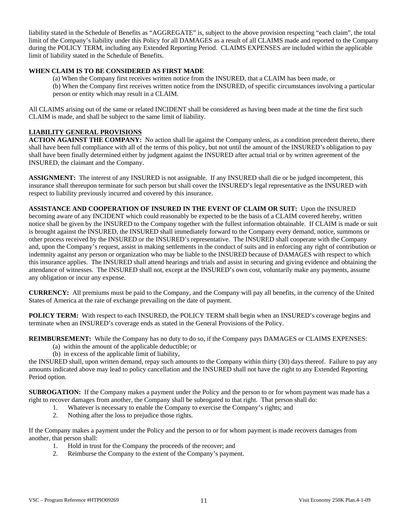liability stated in the Schedule of Benefits as "AGGREGATE" is, subject to the above provision respecting "each claim", the total limit of the Company's liability under this Policy for all DAMAGES as a result of all CLAIMS made and reported to the Company during the POLICY TERM, including any Extended Reporting Period. CLAIMS EXPENSES are included within the applicable limit of liability stated in the Schedule of Benefits.

# **WHEN CLAIM IS TO BE CONSIDERED AS FIRST MADE**

(a) When the Company first receives written notice from the INSURED, that a CLAIM has been made, or (b) When the Company first receives written notice from the INSURED, of specific circumstances involving a particular person or entity which may result in a CLAIM.

All CLAIMS arising out of the same or related INCIDENT shall be considered as having been made at the time the first such CLAIM is made, and shall be subject to the same limit of liability.

# **LIABILITY GENERAL PROVISIONS**

**ACTION AGAINST THE COMPANY:** No action shall lie against the Company unless, as a condition precedent thereto, there shall have been full compliance with all of the terms of this policy, but not until the amount of the INSURED's obligation to pay shall have been finally determined either by judgment against the INSURED after actual trial or by written agreement of the INSURED, the claimant and the Company.

**ASSIGNMENT:** The interest of any INSURED is not assignable. If any INSURED shall die or be judged incompetent, this insurance shall thereupon terminate for such person but shall cover the INSURED's legal representative as the INSURED with respect to liability previously incurred and covered by this insurance.

**ASSISTANCE AND COOPERATION OF INSURED IN THE EVENT OF CLAIM OR SUIT:** Upon the INSURED becoming aware of any INCIDENT which could reasonably be expected to be the basis of a CLAIM covered hereby, written notice shall be given by the INSURED to the Company together with the fullest information obtainable. If CLAIM is made or suit is brought against the INSURED, the INSURED shall immediately forward to the Company every demand, notice, summons or other process received by the INSURED or the INSURED's representative. The INSURED shall cooperate with the Company and, upon the Company's request, assist in making settlements in the conduct of suits and in enforcing any right of contribution or indemnity against any person or organization who may be liable to the INSURED because of DAMAGES with respect to which this insurance applies. The INSURED shall attend hearings and trials and assist in securing and giving evidence and obtaining the attendance of witnesses. The INSURED shall not, except at the INSURED's own cost, voluntarily make any payments, assume any obligation or incur any expense.

**CURRENCY:** All premiums must be paid to the Company, and the Company will pay all benefits, in the currency of the United States of America at the rate of exchange prevailing on the date of payment.

**POLICY TERM:** With respect to each INSURED, the POLICY TERM shall begin when an INSURED's coverage begins and terminate when an INSURED's coverage ends as stated in the General Provisions of the Policy.

**REIMBURSEMENT:** While the Company has no duty to do so, if the Company pays DAMAGES or CLAIMS EXPENSES:

- (a) within the amount of the applicable deductible; or
- (b) in excess of the applicable limit of liability,

the INSURED shall, upon written demand, repay such amounts to the Company within thirty (30) days thereof. Failure to pay any amounts indicated above may lead to policy cancellation and the INSURED shall not have the right to any Extended Reporting Period option.

**SUBROGATION:** If the Company makes a payment under the Policy and the person to or for whom payment was made has a right to recover damages from another, the Company shall be subrogated to that right. That person shall do:

- 1. Whatever is necessary to enable the Company to exercise the Company's rights; and
- 2. Nothing after the loss to prejudice those rights.

If the Company makes a payment under the Policy and the person to or for whom payment is made recovers damages from another, that person shall:

- 1. Hold in trust for the Company the proceeds of the recover; and
- 2. Reimburse the Company to the extent of the Company's payment.